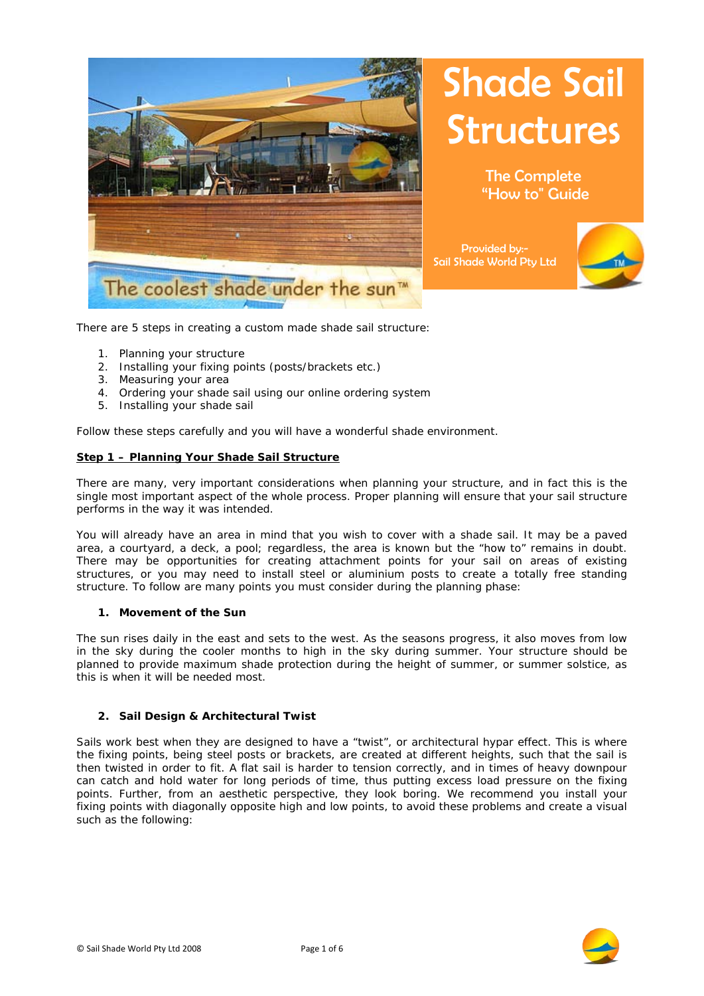

# **Shade Sail** Structures

The Complete "How to" Guide

Provided by:- Sail Shade World Pty Ltd



There are 5 steps in creating a custom made shade sail structure:

- 1. Planning your structure
- 2. Installing your fixing points (posts/brackets etc.)
- 3. Measuring your area
- 4. Ordering your shade sail using our online ordering system
- 5. Installing your shade sail

Follow these steps carefully and you will have a wonderful shade environment.

## **Step 1 – Planning Your Shade Sail Structure**

There are many, very important considerations when planning your structure, and in fact this is the single most important aspect of the whole process. Proper planning will ensure that your sail structure performs in the way it was intended.

You will already have an area in mind that you wish to cover with a shade sail. It may be a paved area, a courtyard, a deck, a pool; regardless, the area is known but the "how to" remains in doubt. There may be opportunities for creating attachment points for your sail on areas of existing structures, or you may need to install steel or aluminium posts to create a totally free standing structure. To follow are many points you must consider during the planning phase:

#### **1. Movement of the Sun**

The sun rises daily in the east and sets to the west. As the seasons progress, it also moves from low in the sky during the cooler months to high in the sky during summer. Your structure should be planned to provide maximum shade protection during the height of summer, or summer solstice, as this is when it will be needed most.

#### **2. Sail Design & Architectural Twist**

Sails work best when they are designed to have a "twist", or architectural hypar effect. This is where the fixing points, being steel posts or brackets, are created at different heights, such that the sail is then twisted in order to fit. A flat sail is harder to tension correctly, and in times of heavy downpour can catch and hold water for long periods of time, thus putting excess load pressure on the fixing points. Further, from an aesthetic perspective, they look boring. We recommend you install your fixing points with diagonally opposite high and low points, to avoid these problems and create a visual such as the following:

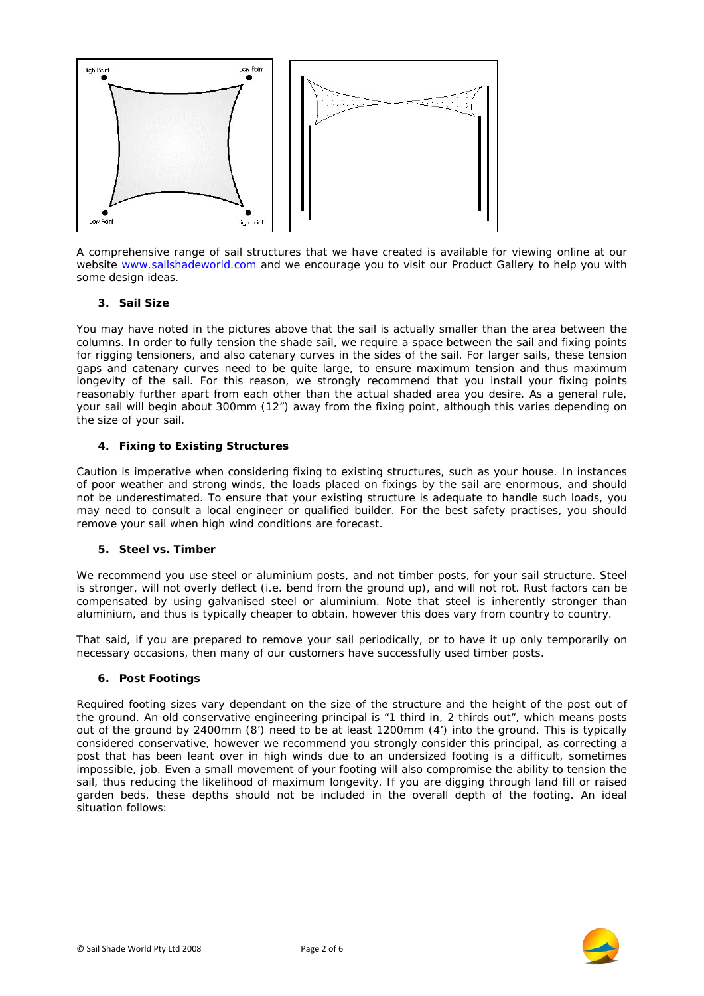

A comprehensive range of sail structures that we have created is available for viewing online at our website [www.sailshadeworld.com](http://www.sailshadeworld.com/) and we encourage you to visit our Product Gallery to help you with some design ideas.

# **3. Sail Size**

You may have noted in the pictures above that the sail is actually smaller than the area between the columns. In order to fully tension the shade sail, we require a space between the sail and fixing points for rigging tensioners, and also catenary curves in the sides of the sail. For larger sails, these tension gaps and catenary curves need to be quite large, to ensure maximum tension and thus maximum longevity of the sail. For this reason, we strongly recommend that you install your fixing points reasonably further apart from each other than the actual shaded area you desire. As a general rule, your sail will begin about 300mm (12") away from the fixing point, although this varies depending on the size of your sail.

## **4. Fixing to Existing Structures**

Caution is imperative when considering fixing to existing structures, such as your house. In instances of poor weather and strong winds, the loads placed on fixings by the sail are enormous, and should not be underestimated. To ensure that your existing structure is adequate to handle such loads, you may need to consult a local engineer or qualified builder. For the best safety practises, you should remove your sail when high wind conditions are forecast.

#### **5. Steel vs. Timber**

We recommend you use steel or aluminium posts, and not timber posts, for your sail structure. Steel is stronger, will not overly deflect (i.e. bend from the ground up), and will not rot. Rust factors can be compensated by using galvanised steel or aluminium. Note that steel is inherently stronger than aluminium, and thus is typically cheaper to obtain, however this does vary from country to country.

That said, if you are prepared to remove your sail periodically, or to have it up only temporarily on necessary occasions, then many of our customers have successfully used timber posts.

#### **6. Post Footings**

Required footing sizes vary dependant on the size of the structure and the height of the post out of the ground. An old conservative engineering principal is "1 third in, 2 thirds out", which means posts out of the ground by 2400mm (8') need to be at least 1200mm (4') into the ground. This is typically considered conservative, however we recommend you strongly consider this principal, as correcting a post that has been leant over in high winds due to an undersized footing is a difficult, sometimes impossible, job. Even a small movement of your footing will also compromise the ability to tension the sail, thus reducing the likelihood of maximum longevity. If you are digging through land fill or raised garden beds, these depths should not be included in the overall depth of the footing. An ideal situation follows:

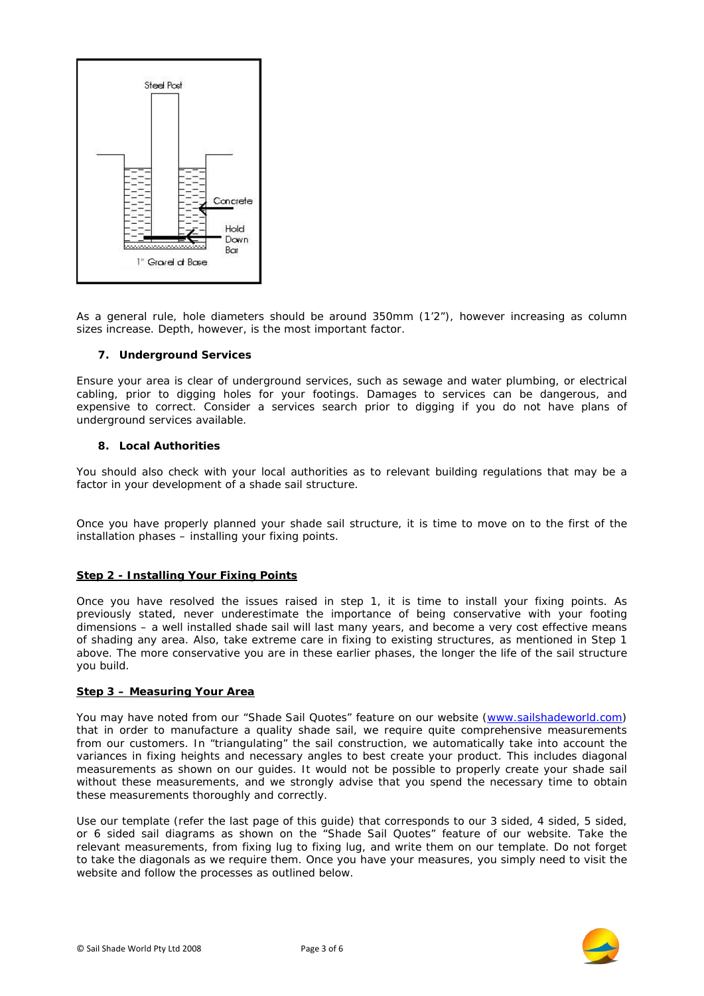

As a general rule, hole diameters should be around 350mm (1'2"), however increasing as column sizes increase. Depth, however, is the most important factor.

## **7. Underground Services**

Ensure your area is clear of underground services, such as sewage and water plumbing, or electrical cabling, prior to digging holes for your footings. Damages to services can be dangerous, and expensive to correct. Consider a services search prior to digging if you do not have plans of underground services available.

## **8. Local Authorities**

You should also check with your local authorities as to relevant building regulations that may be a factor in your development of a shade sail structure.

Once you have properly planned your shade sail structure, it is time to move on to the first of the installation phases – installing your fixing points.

## **Step 2 - Installing Your Fixing Points**

Once you have resolved the issues raised in step 1, it is time to install your fixing points. As previously stated, never underestimate the importance of being conservative with your footing dimensions – a well installed shade sail will last many years, and become a very cost effective means of shading any area. Also, take extreme care in fixing to existing structures, as mentioned in Step 1 above. The more conservative you are in these earlier phases, the longer the life of the sail structure you build.

## **Step 3 – Measuring Your Area**

You may have noted from our "Shade Sail Quotes" feature on our website [\(www.sailshadeworld.com\)](http://www.sailshadeworld.com/) that in order to manufacture a quality shade sail, we require quite comprehensive measurements from our customers. In "triangulating" the sail construction, we automatically take into account the variances in fixing heights and necessary angles to best create your product. This includes diagonal measurements as shown on our guides. It would not be possible to properly create your shade sail without these measurements, and we strongly advise that you spend the necessary time to obtain these measurements thoroughly and correctly.

Use our template (refer the last page of this guide) that corresponds to our 3 sided, 4 sided, 5 sided, or 6 sided sail diagrams as shown on the "Shade Sail Quotes" feature of our website. Take the relevant measurements, from fixing lug to fixing lug, and write them on our template. Do not forget to take the diagonals as we require them. Once you have your measures, you simply need to visit the website and follow the processes as outlined below.

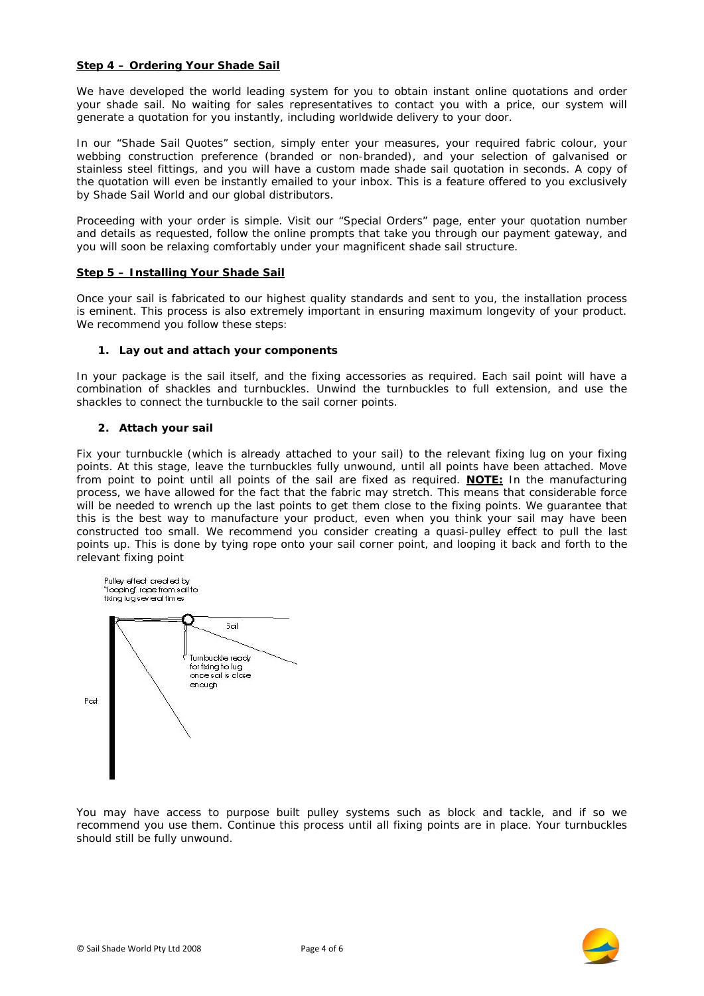## **Step 4 – Ordering Your Shade Sail**

We have developed the world leading system for you to obtain instant online quotations and order your shade sail. No waiting for sales representatives to contact you with a price, our system will generate a quotation for you instantly, including worldwide delivery to your door.

In our "Shade Sail Quotes" section, simply enter your measures, your required fabric colour, your webbing construction preference (branded or non-branded), and your selection of galvanised or stainless steel fittings, and you will have a custom made shade sail quotation in seconds. A copy of the quotation will even be instantly emailed to your inbox. This is a feature offered to you exclusively by Shade Sail World and our global distributors.

Proceeding with your order is simple. Visit our "Special Orders" page, enter your quotation number and details as requested, follow the online prompts that take you through our payment gateway, and you will soon be relaxing comfortably under your magnificent shade sail structure.

## **Step 5 – Installing Your Shade Sail**

Once your sail is fabricated to our highest quality standards and sent to you, the installation process is eminent. This process is also extremely important in ensuring maximum longevity of your product. We recommend you follow these steps:

# **1. Lay out and attach your components**

In your package is the sail itself, and the fixing accessories as required. Each sail point will have a combination of shackles and turnbuckles. Unwind the turnbuckles to full extension, and use the shackles to connect the turnbuckle to the sail corner points.

# **2. Attach your sail**

Fix your turnbuckle (which is already attached to your sail) to the relevant fixing lug on your fixing points. At this stage, leave the turnbuckles fully unwound, until all points have been attached. Move from point to point until all points of the sail are fixed as required. *NOTE:* In the manufacturing process, we have allowed for the fact that the fabric may stretch. This means that considerable force will be needed to wrench up the last points to get them close to the fixing points. We guarantee that this is the best way to manufacture your product, even when you think your sail may have been constructed too small. We recommend you consider creating a quasi-pulley effect to pull the last points up. This is done by tying rope onto your sail corner point, and looping it back and forth to the relevant fixing point



You may have access to purpose built pulley systems such as block and tackle, and if so we recommend you use them. Continue this process until all fixing points are in place. Your turnbuckles should still be fully unwound.

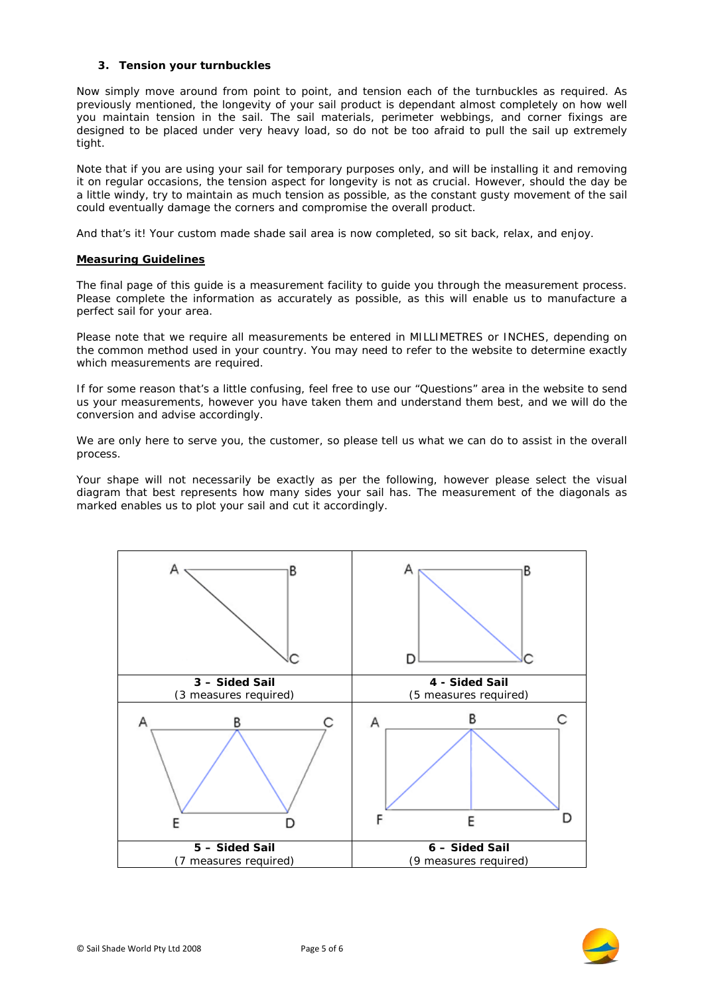## **3. Tension your turnbuckles**

Now simply move around from point to point, and tension each of the turnbuckles as required. As previously mentioned, the longevity of your sail product is dependant almost completely on how well you maintain tension in the sail. The sail materials, perimeter webbings, and corner fixings are designed to be placed under very heavy load, so do not be too afraid to pull the sail up extremely tight.

Note that if you are using your sail for temporary purposes only, and will be installing it and removing it on regular occasions, the tension aspect for longevity is not as crucial. However, should the day be a little windy, try to maintain as much tension as possible, as the constant gusty movement of the sail could eventually damage the corners and compromise the overall product.

And that's it! Your custom made shade sail area is now completed, so sit back, relax, and enjoy.

# **Measuring Guidelines**

The final page of this guide is a measurement facility to guide you through the measurement process. Please complete the information as accurately as possible, as this will enable us to manufacture a perfect sail for your area.

Please note that we require all measurements be entered in MILLIMETRES or INCHES, depending on the common method used in your country. You may need to refer to the website to determine exactly which measurements are required.

If for some reason that's a little confusing, feel free to use our "Questions" area in the website to send us your measurements, however you have taken them and understand them best, and we will do the conversion and advise accordingly.

We are only here to serve you, the customer, so please tell us what we can do to assist in the overall process.

Your shape will not necessarily be exactly as per the following, however please select the visual diagram that best represents how many sides your sail has. The measurement of the diagonals as marked enables us to plot your sail and cut it accordingly.